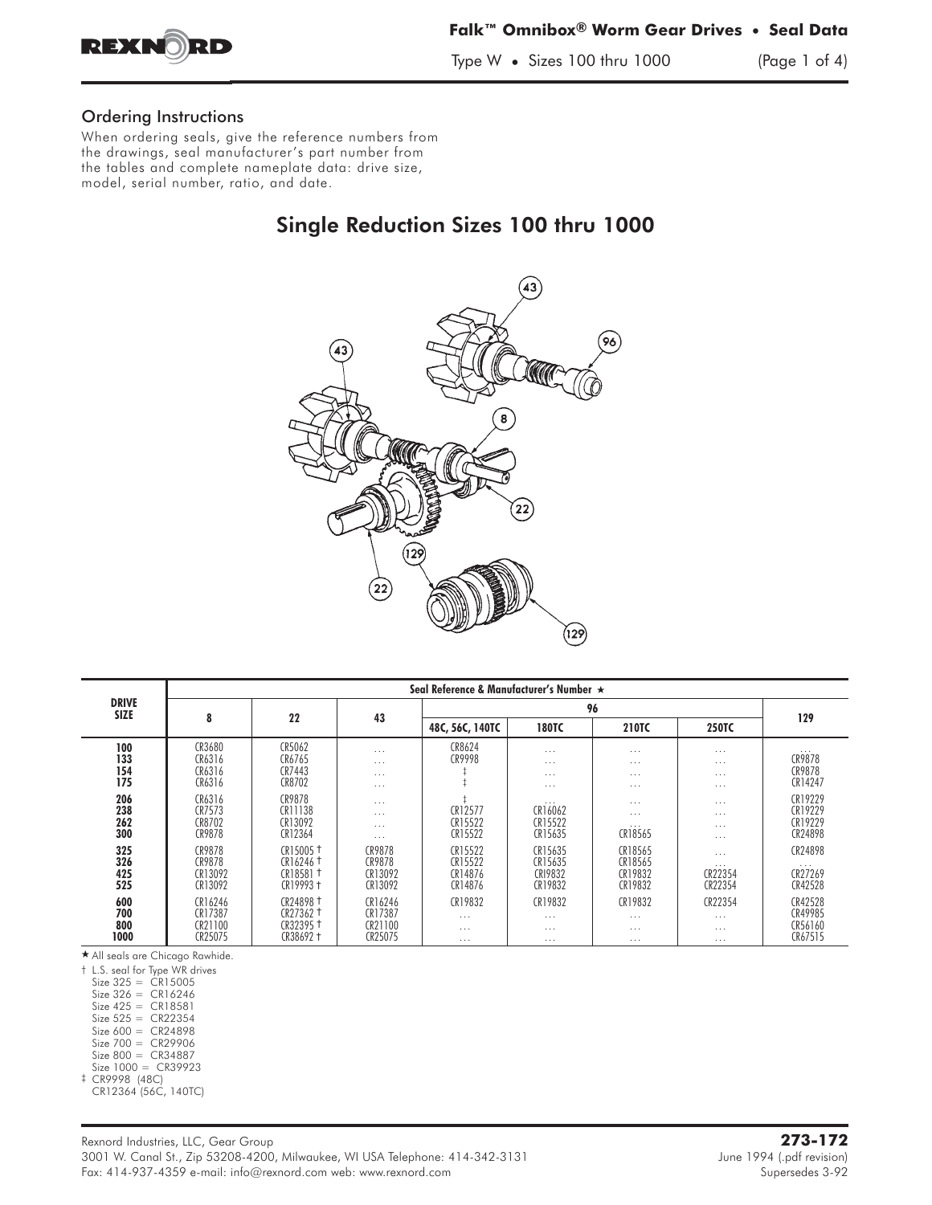

### **Falk™ Omnibox® Worm Gear Drives • Seal Data**

Type W **•** Sizes 100 thru 1000 (Page 1 of 4)

### Ordering Instructions

When ordering seals, give the reference numbers from the drawings, seal manufacturer's part number from the tables and complete nameplate data: drive size, model, serial number, ratio, and date.

## Single Reduction Sizes 100 thru 1000



|                             | Seal Reference & Manufacturer's Number ★ |                                                                                       |                                          |                                          |                                              |                                              |                                              |                                           |  |  |  |
|-----------------------------|------------------------------------------|---------------------------------------------------------------------------------------|------------------------------------------|------------------------------------------|----------------------------------------------|----------------------------------------------|----------------------------------------------|-------------------------------------------|--|--|--|
| <b>DRIVE</b><br><b>SIZE</b> |                                          |                                                                                       |                                          |                                          |                                              |                                              |                                              |                                           |  |  |  |
|                             | 8                                        | 22                                                                                    | 43                                       | 48C, 56C, 140TC                          | <b>180TC</b>                                 | <b>210TC</b>                                 | <b>250TC</b>                                 | 129                                       |  |  |  |
| 100<br>133<br>154<br>175    | CR3680<br>CR6316<br>CR6316<br>CR6316     | CR5062<br>CR6765<br>CR7443<br>CR8702                                                  | .<br>$\cdots$<br>$\cdots$<br>$\cdots$    | CR8624<br>CR9998                         | $\cdots$<br>$\cdots$<br>$\cdots$<br>$\cdots$ | $\cdots$<br>$\cdots$<br>$\cdots$<br>$\cdots$ | $\cdots$<br>$\cdots$<br>$\cdots$<br>$\cdots$ | $\cdots$<br>CR9878<br>CR9878<br>CR14247   |  |  |  |
| 206<br>238<br>262<br>300    | CR6316<br>CR7573<br>CR8702<br>CR9878     | CR9878<br>CR11138<br>CR13092<br>CR12364                                               | $\cdots$<br>.<br>.<br>$\cdots$           | CR12577<br>CR15522<br>CR15522            | $\cdots$<br>CR16062<br>CR15522<br>CR15635    | $\cdots$<br>$\cdots$<br>$\cdots$<br>CR18565  | $\cdots$<br>$\cdots$<br>$\cdots$<br>$\cdots$ | CR19229<br>CR19229<br>CR19229<br>CR24898  |  |  |  |
| 325<br>326<br>425<br>525    | CR9878<br>CR9878<br>CR13092<br>CR13092   | CR15005 <sup>+</sup><br>$CR16246$ <sup>+</sup><br>CR18581 <sup>+</sup><br>$CR19993 +$ | CR9878<br>CR9878<br>CR13092<br>CR13092   | CR15522<br>CR15522<br>CR14876<br>CR14876 | CR15635<br>CR15635<br>CR19832<br>CR19832     | CR18565<br>CR18565<br>CR19832<br>CR19832     | $\cdots$<br>$\cdots$<br>CR22354<br>CR22354   | CR24898<br>$\cdots$<br>CR27269<br>CR42528 |  |  |  |
| 600<br>700<br>800<br>1000   | CR16246<br>CR17387<br>CR21100<br>CR25075 | CR24898 <sup>+</sup><br>CR27362 <sup>+</sup><br>CR32395 <sup>+</sup><br>CR38692 +     | CR16246<br>CR17387<br>CR21100<br>CR25075 | CR19832<br>.<br>$\cdots$<br>$\cdots$     | CR19832<br>$\cdots$<br>$\cdots$<br>$\cdots$  | CR19832<br>$\cdots$<br>$\cdots$<br>$\cdots$  | CR22354<br>$\cdots$<br>$\cdots$<br>$\cdots$  | CR42528<br>CR49985<br>CR56160<br>CR67515  |  |  |  |

- All seals are Chicago Rawhide.

† L.S. seal for Type WR drives

 $Size 325 = CR15005$ 

Size 326 = CR16246 Size 425 = CR18581

 $Size 525 = CR22354$ 

Size 600 = CR24898

Size 700 = CR29906

Size 800 = CR34887

Size 1000 = CR39923 ‡ CR9998 (48C)

CR12364 (56C, 140TC)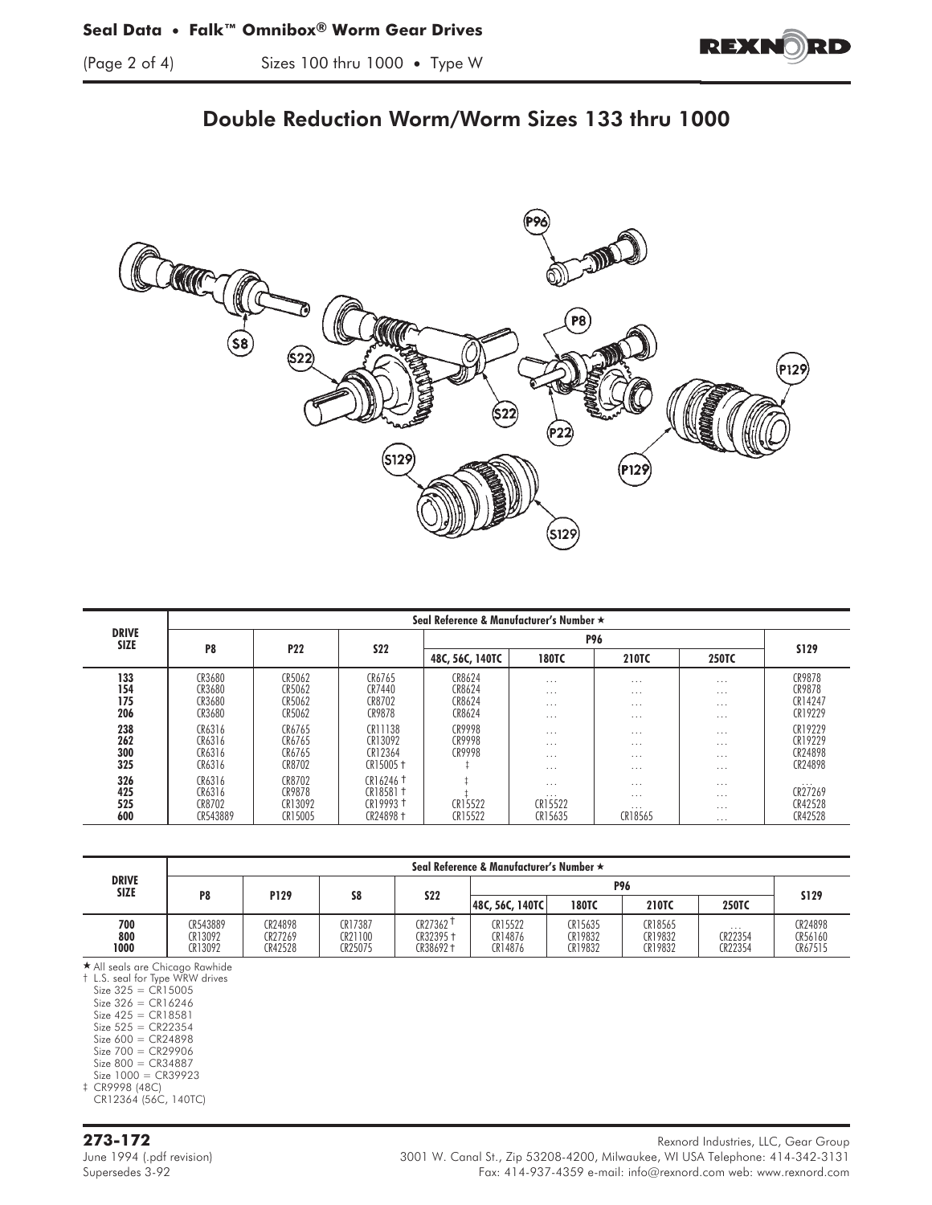$\frac{1}{2}$  of  $\frac{1}{2}$  sizes 100 thru 1000 • Type W



## Double Reduction Worm/Worm Sizes 133 thru 1000



|                             | Seal Reference & Manufacturer's Number ★ |                                        |                                                                                     |                                      |                                                             |                                              |                                              |                                           |  |  |
|-----------------------------|------------------------------------------|----------------------------------------|-------------------------------------------------------------------------------------|--------------------------------------|-------------------------------------------------------------|----------------------------------------------|----------------------------------------------|-------------------------------------------|--|--|
| <b>DRIVE</b><br><b>SIZE</b> | P <sub>8</sub>                           | <b>P22</b>                             | <b>S22</b>                                                                          |                                      |                                                             |                                              |                                              |                                           |  |  |
|                             |                                          |                                        |                                                                                     | 48C, 56C, 140TC                      | <b>180TC</b>                                                | 210TC                                        | <b>250TC</b>                                 | <b>S129</b>                               |  |  |
| 133<br>154<br>175<br>206    | CR3680<br>CR3680<br>CR3680<br>CR3680     | CR5062<br>CR5062<br>CR5062<br>CR5062   | CR6765<br>CR7440<br>CR8702<br>CR9878                                                | CR8624<br>CR8624<br>CR8624<br>CR8624 | $\cdots$<br>$\cdots$<br>$\cdots$<br>$\cdot$ $\cdot$ $\cdot$ | $\cdots$<br>$\cdots$<br>$\cdots$<br>$\cdots$ | $\cdots$<br>$\cdots$<br>$\cdots$<br>$\cdots$ | CR9878<br>CR9878<br>CR14247<br>CR19229    |  |  |
| 238<br>262<br>300<br>325    | CR6316<br>CR6316<br>CR6316<br>CR6316     | CR6765<br>CR6765<br>CR6765<br>CR8702   | CR11138<br>CR13092<br>CR12364<br>$CR15005 +$                                        | CR9998<br>CR9998<br>CR9998           | $\cdots$<br>$\cdot$ $\cdot$ $\cdot$<br>$\cdots$<br>$\cdots$ | $\cdots$<br>$\cdots$<br>$\cdots$<br>$\cdots$ | $\cdots$<br>$\cdots$<br>$\cdots$<br>$\cdots$ | CR19229<br>CR19229<br>CR24898<br>CR24898  |  |  |
| 326<br>425<br>525<br>600    | CR6316<br>CR6316<br>CR8702<br>CR543889   | CR8702<br>CR9878<br>CR13092<br>CR15005 | $CR16246$ <sup>+</sup><br>CR18581 <sup>+</sup><br>CR19993 <sup>+</sup><br>CR24898 + | CR15522<br>CR15522                   | $\cdots$<br>$\cdots$<br>CR15522<br>CR15635                  | $\cdots$<br>$\cdots$<br>$\cdots$<br>CR18565  | $\cdots$<br>$\cdots$<br>$\cdots$<br>$\cdots$ | $\cdots$<br>CR27269<br>CR42528<br>CR42528 |  |  |

|                             | Seal Reference & Manufacturer's Number ★ |                               |                               |                                   |                               |                               |                               |                         |                               |
|-----------------------------|------------------------------------------|-------------------------------|-------------------------------|-----------------------------------|-------------------------------|-------------------------------|-------------------------------|-------------------------|-------------------------------|
| <b>DRIVE</b><br><b>SIZE</b> | P <sub>8</sub>                           | P129                          | S8                            | <b>S22</b>                        | <b>P96</b>                    |                               |                               |                         |                               |
|                             |                                          |                               |                               |                                   | 48C, 56C, 140TC               | <b>180TC</b>                  | <b>210TC</b>                  | <b>250TC</b>            | <b>S129</b>                   |
| 700<br>800<br>1000          | CR543889<br>CR13092<br>CR13092           | CR24898<br>CR27269<br>CR42528 | CR17387<br>CR21100<br>CR25075 | CR27362 <sup>1</sup><br>CR32395 + | CR15522<br>CR14876<br>CR14876 | CR15635<br>CR19832<br>CR19832 | CR18565<br>CR19832<br>CR19832 | .<br>CR22354<br>CR22354 | CR24898<br>CR56160<br>CR67515 |

- All seals are Chicago Rawhide

† L.S. seal for Type WRW drives

Size 325 = CR15005 Size 326 = CR16246 Size 425 = CR18581

Size 525 = CR22354

Size 600 = CR24898

Size 700 = CR29906 Size 800 = CR34887

Size 1000 = CR39923 ‡ CR9998 (48C)

CR12364 (56C, 140TC)

**273-172** Rexnord Industries, LLC, Gear Group June 1994 (.pdf revision) 3001 W. Canal St., Zip 53208-4200, Milwaukee, WI USA Telephone: 414-342-3131 Fax: 414-937-4359 e-mail: info@rexnord.com web: www.rexnord.com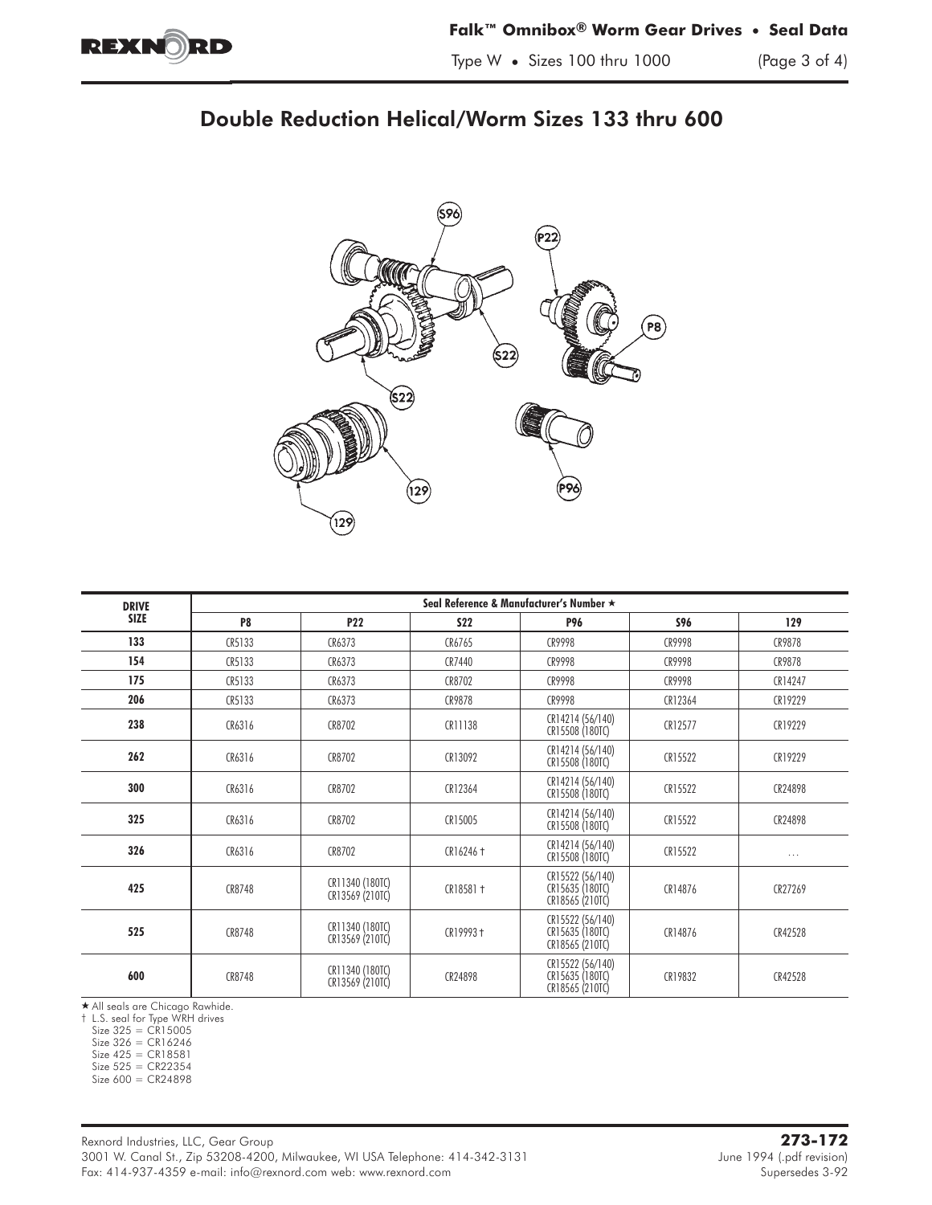

# Double Reduction Helical/Worm Sizes 133 thru 600



| <b>DRIVE</b> | Seal Reference & Manufacturer's Number ★ |                                    |             |                                                        |            |          |  |  |  |
|--------------|------------------------------------------|------------------------------------|-------------|--------------------------------------------------------|------------|----------|--|--|--|
| <b>SIZE</b>  | P <sub>8</sub>                           | P22                                | <b>S22</b>  | <b>P96</b>                                             | <b>S96</b> | 129      |  |  |  |
| 133          | CR5133                                   | CR6373                             | CR6765      | CR9998                                                 | CR9998     | CR9878   |  |  |  |
| 154          | CR5133                                   | CR6373                             | CR7440      | CR9998                                                 | CR9998     | CR9878   |  |  |  |
| 175          | CR5133                                   | CR6373                             | CR8702      | CR9998                                                 | CR9998     | CR14247  |  |  |  |
| 206          | CR5133                                   | CR6373                             | CR9878      | CR9998                                                 | CR12364    | CR19229  |  |  |  |
| 238          | CR6316                                   | CR8702                             | CR11138     | CR14214 (56/140)<br>CR15508 (180TC)                    | CR12577    | CR19229  |  |  |  |
| 262          | CR6316                                   | CR8702                             | CR13092     | CR14214 (56/140)<br>CR15508 (180TC)                    | CR15522    | CR19229  |  |  |  |
| 300          | CR6316                                   | CR8702                             | CR12364     | CR14214 (56/140)<br>CR15508 (180TC)                    | CR15522    | CR24898  |  |  |  |
| 325          | CR6316                                   | CR8702                             | CR15005     | CR14214 (56/140)<br>CR15508 (180TC)                    | CR15522    | CR24898  |  |  |  |
| 326          | CR6316                                   | CR8702                             | CR16246 +   | CR14214 (56/140)<br>CR15508 (180TC)                    | CR15522    | $\cdots$ |  |  |  |
| 425          | CR8748                                   | CR11340 (180TC)<br>CR13569 (210TC) | $CR18581 +$ | CR15522 (56/140)<br>CR15635 (180TC)<br>CR18565 (210TC) | CR14876    | CR27269  |  |  |  |
| 525          | CR8748                                   | CR11340 (180TC)<br>CR13569 (210TC) | $CR19993 +$ | CR15522 (56/140)<br>CR15635 (180TC)<br>CR18565 (210TC) | CR14876    | CR42528  |  |  |  |
| 600          | CR8748                                   | CR11340 (180TC)<br>CR13569 (210TC) | CR24898     | CR15522 (56/140)<br>CR15635 (180TC)<br>CR18565 (210TC) | CR19832    | CR42528  |  |  |  |

★ All seals are Chicago Rawhide.<br>† L.S. seal for Type WRH drives

 $Size 325 = CR15005$ 

Size 326 = CR16246

Size 425 = CR18581

 $Size 525 = CR22354$ 

Size 600 = CR24898